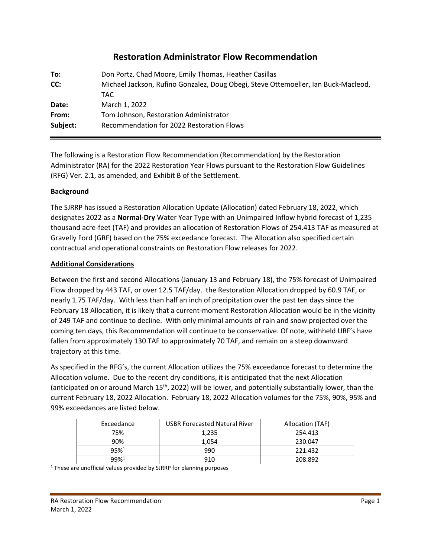# **Restoration Administrator Flow Recommendation**

| To:      | Don Portz, Chad Moore, Emily Thomas, Heather Casillas                              |  |  |
|----------|------------------------------------------------------------------------------------|--|--|
| CC:      | Michael Jackson, Rufino Gonzalez, Doug Obegi, Steve Ottemoeller, Ian Buck-Macleod, |  |  |
|          | TAC.                                                                               |  |  |
| Date:    | March 1, 2022                                                                      |  |  |
| From:    | Tom Johnson, Restoration Administrator                                             |  |  |
| Subject: | Recommendation for 2022 Restoration Flows                                          |  |  |
|          |                                                                                    |  |  |

The following is a Restoration Flow Recommendation (Recommendation) by the Restoration Administrator (RA) for the 2022 Restoration Year Flows pursuant to the Restoration Flow Guidelines (RFG) Ver. 2.1, as amended, and Exhibit B of the Settlement.

### **Background**

The SJRRP has issued a Restoration Allocation Update (Allocation) dated February 18, 2022, which designates 2022 as a **Normal-Dry** Water Year Type with an Unimpaired Inflow hybrid forecast of 1,235 thousand acre-feet (TAF) and provides an allocation of Restoration Flows of 254.413 TAF as measured at Gravelly Ford (GRF) based on the 75% exceedance forecast. The Allocation also specified certain contractual and operational constraints on Restoration Flow releases for 2022.

#### **Additional Considerations**

Between the first and second Allocations (January 13 and February 18), the 75% forecast of Unimpaired Flow dropped by 443 TAF, or over 12.5 TAF/day. the Restoration Allocation dropped by 60.9 TAF, or nearly 1.75 TAF/day. With less than half an inch of precipitation over the past ten days since the February 18 Allocation, it is likely that a current-moment Restoration Allocation would be in the vicinity of 249 TAF and continue to decline. With only minimal amounts of rain and snow projected over the coming ten days, this Recommendation will continue to be conservative. Of note, withheld URF's have fallen from approximately 130 TAF to approximately 70 TAF, and remain on a steep downward trajectory at this time.

As specified in the RFG's, the current Allocation utilizes the 75% exceedance forecast to determine the Allocation volume. Due to the recent dry conditions, it is anticipated that the next Allocation (anticipated on or around March 15<sup>th</sup>, 2022) will be lower, and potentially substantially lower, than the current February 18, 2022 Allocation. February 18, 2022 Allocation volumes for the 75%, 90%, 95% and 99% exceedances are listed below.

| Exceedance         | <b>USBR Forecasted Natural River</b> | Allocation (TAF) |
|--------------------|--------------------------------------|------------------|
| 75%                | 1.235                                | 254.413          |
| 90%                | 1.054                                | 230.047          |
| $95%$ <sup>1</sup> | 990                                  | 221.432          |
| $99%$ <sup>1</sup> | 910                                  | 208.892          |

<sup>1</sup> These are unofficial values provided by SJRRP for planning purposes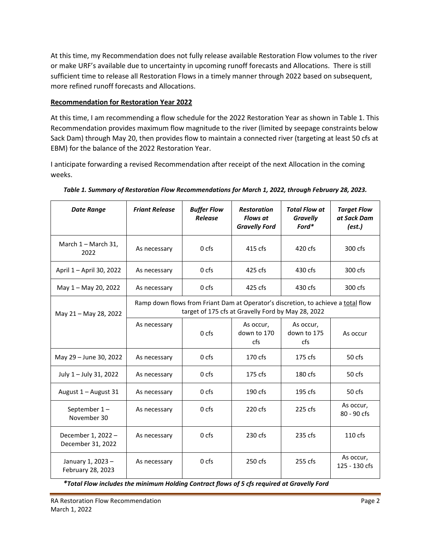At this time, my Recommendation does not fully release available Restoration Flow volumes to the river or make URF's available due to uncertainty in upcoming runoff forecasts and Allocations. There is still sufficient time to release all Restoration Flows in a timely manner through 2022 based on subsequent, more refined runoff forecasts and Allocations.

### **Recommendation for Restoration Year 2022**

At this time, I am recommending a flow schedule for the 2022 Restoration Year as shown in Table 1. This Recommendation provides maximum flow magnitude to the river (limited by seepage constraints below Sack Dam) through May 20, then provides flow to maintain a connected river (targeting at least 50 cfs at EBM) for the balance of the 2022 Restoration Year.

I anticipate forwarding a revised Recommendation after receipt of the next Allocation in the coming weeks.

| <b>Date Range</b>                       | <b>Friant Release</b>                                                                                                                   | <b>Buffer Flow</b><br><b>Release</b> | <b>Restoration</b><br><b>Flows at</b><br><b>Gravelly Ford</b> | <b>Total Flow at</b><br><b>Gravelly</b><br>$\text{For}d^*$ | <b>Target Flow</b><br>at Sack Dam<br>(est.) |
|-----------------------------------------|-----------------------------------------------------------------------------------------------------------------------------------------|--------------------------------------|---------------------------------------------------------------|------------------------------------------------------------|---------------------------------------------|
| March 1 - March 31,<br>2022             | As necessary                                                                                                                            | 0 <sub>cfs</sub>                     | 415 cfs                                                       | 420 cfs                                                    | 300 cfs                                     |
| April 1 - April 30, 2022                | As necessary                                                                                                                            | 0 <sub>cfs</sub>                     | 425 cfs                                                       | 430 cfs                                                    | 300 cfs                                     |
| May 1 - May 20, 2022                    | As necessary                                                                                                                            | 0 cfs                                | 425 cfs                                                       | 430 cfs                                                    | 300 cfs                                     |
| May 21 - May 28, 2022                   | Ramp down flows from Friant Dam at Operator's discretion, to achieve a total flow<br>target of 175 cfs at Gravelly Ford by May 28, 2022 |                                      |                                                               |                                                            |                                             |
|                                         | As necessary                                                                                                                            | 0 <sub>cfs</sub>                     | As occur,<br>down to 170<br>cfs                               | As occur,<br>down to 175<br>cfs                            | As occur                                    |
| May 29 - June 30, 2022                  | As necessary                                                                                                                            | 0 <sub>cfs</sub>                     | 170 cfs                                                       | $175$ cfs                                                  | 50 <sub>cfs</sub>                           |
| July 1 - July 31, 2022                  | As necessary                                                                                                                            | 0 <sub>cfs</sub>                     | $175$ cfs                                                     | $180$ cfs                                                  | 50 <sub>cfs</sub>                           |
| August 1 - August 31                    | As necessary                                                                                                                            | 0 <sub>cfs</sub>                     | $190 \text{ cfs}$                                             | $195$ cfs                                                  | 50 <sub>cfs</sub>                           |
| September 1-<br>November 30             | As necessary                                                                                                                            | 0 <sub>cfs</sub>                     | 220 cfs                                                       | $225$ cfs                                                  | As occur,<br>$80 - 90$ cfs                  |
| December 1, 2022 -<br>December 31, 2022 | As necessary                                                                                                                            | 0 cfs                                | 230 cfs                                                       | $235$ cfs                                                  | $110$ cfs                                   |
| January 1, 2023 -<br>February 28, 2023  | As necessary                                                                                                                            | 0 <sub>cfs</sub>                     | 250 cfs                                                       | $255$ cfs                                                  | As occur,<br>125 - 130 cfs                  |

*Table 1. Summary of Restoration Flow Recommendations for March 1, 2022, through February 28, 2023.* 

*\*Total Flow includes the minimum Holding Contract flows of 5 cfs required at Gravelly Ford*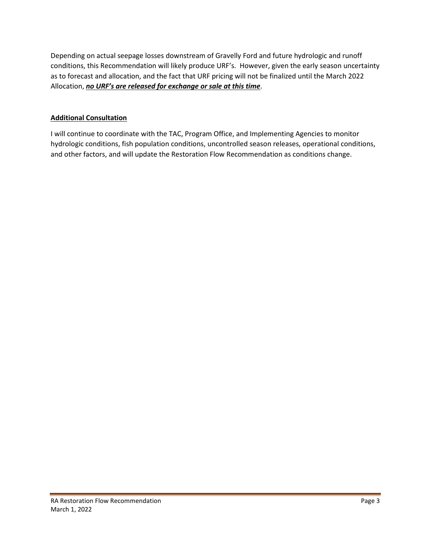Depending on actual seepage losses downstream of Gravelly Ford and future hydrologic and runoff conditions, this Recommendation will likely produce URF's. However, given the early season uncertainty as to forecast and allocation, and the fact that URF pricing will not be finalized until the March 2022 Allocation, *no URF's are released for exchange or sale at this time*.

## **Additional Consultation**

I will continue to coordinate with the TAC, Program Office, and Implementing Agencies to monitor hydrologic conditions, fish population conditions, uncontrolled season releases, operational conditions, and other factors, and will update the Restoration Flow Recommendation as conditions change.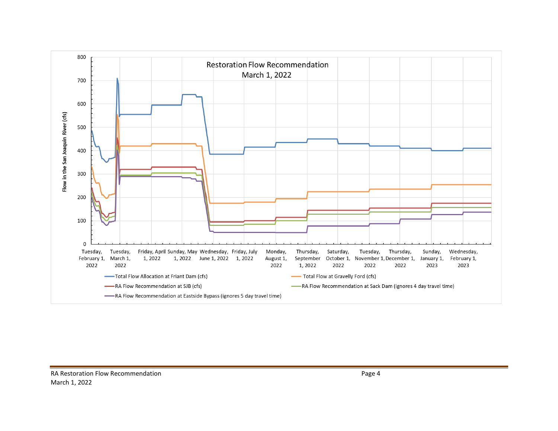